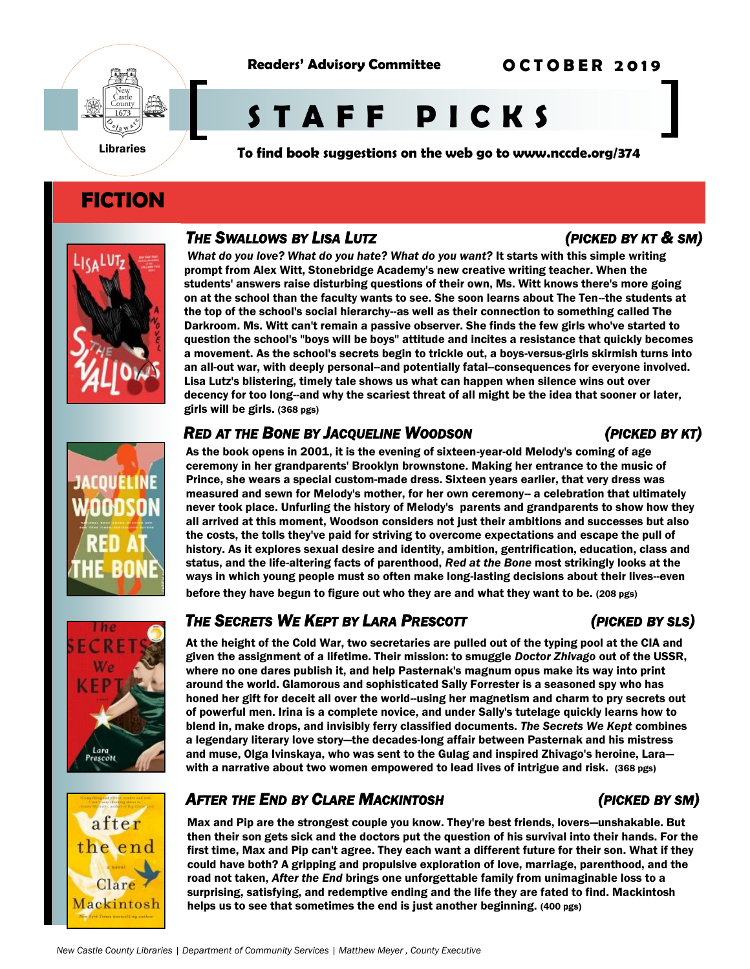

**O C T O B E R 2 0 1 9**



# **S T A F F P I C K S**

**To find book suggestions on the web go to www.nccde.org/374** 

# **FICTION**



### *THE SWALLOWS BY LISA LUTZ (PICKED BY KT & SM)*

What do you love? What do you hate? What do you want? It starts with this simple writing prompt from Alex Witt, Stonebridge Academy's new creative writing teacher. When the students' answers raise disturbing questions of their own, Ms. Witt knows there's more going on at the school than the faculty wants to see. She soon learns about The Ten--the students at the top of the school's social hierarchy--as well as their connection to something called The Darkroom. Ms. Witt can't remain a passive observer. She finds the few girls who've started to question the school's "boys will be boys" attitude and incites a resistance that quickly becomes a movement. As the school's secrets begin to trickle out, a boys-versus-girls skirmish turns into an all-out war, with deeply personal--and potentially fatal--consequences for everyone involved. Lisa Lutz's blistering, timely tale shows us what can happen when silence wins out over decency for too long--and why the scariest threat of all might be the idea that sooner or later, girls will be girls. (368 pgs)

### *RED AT THE BONE BY JACQUELINE WOODSON (PICKED BY KT)*

As the book opens in 2001, it is the evening of sixteen-year-old Melody's coming of age ceremony in her grandparents' Brooklyn brownstone. Making her entrance to the music of Prince, she wears a special custom-made dress. Sixteen years earlier, that very dress was measured and sewn for Melody's mother, for her own ceremony-- a celebration that ultimately never took place. Unfurling the history of Melody's parents and grandparents to show how they all arrived at this moment, Woodson considers not just their ambitions and successes but also the costs, the tolls they've paid for striving to overcome expectations and escape the pull of history. As it explores sexual desire and identity, ambition, gentrification, education, class and status, and the life-altering facts of parenthood, *Red at the Bone* most strikingly looks at the ways in which young people must so often make long-lasting decisions about their lives--even before they have begun to figure out who they are and what they want to be. (208 pgs)

## *THE SECRETS WE KEPT BY LARA PRESCOTT (PICKED BY SLS)*

At the height of the Cold War, two secretaries are pulled out of the typing pool at the CIA and given the assignment of a lifetime. Their mission: to smuggle *Doctor Zhivago* out of the USSR, where no one dares publish it, and help Pasternak's magnum opus make its way into print around the world. Glamorous and sophisticated Sally Forrester is a seasoned spy who has honed her gift for deceit all over the world--using her magnetism and charm to pry secrets out of powerful men. Irina is a complete novice, and under Sally's tutelage quickly learns how to blend in, make drops, and invisibly ferry classified documents. *The Secrets We Kept* combines a legendary literary love story—the decades-long affair between Pasternak and his mistress and muse, Olga Ivinskaya, who was sent to the Gulag and inspired Zhivago's heroine, Lara with a narrative about two women empowered to lead lives of intrigue and risk. (368 pgs)

### *AFTER THE END BY CLARE MACKINTOSH (PICKED BY SM)*

Max and Pip are the strongest couple you know. They're best friends, lovers—unshakable. But then their son gets sick and the doctors put the question of his survival into their hands. For the first time, Max and Pip can't agree. They each want a different future for their son. What if they could have both? A gripping and propulsive exploration of love, marriage, parenthood, and the road not taken, *After the End* brings one unforgettable family from unimaginable loss to a surprising, satisfying, and redemptive ending and the life they are fated to find. Mackintosh helps us to see that sometimes the end is just another beginning. (400 pgs)

# after the end Clare Mackintosh

Lara Prescott

### *New Castle County Libraries | Department of Community Services | Matthew Meyer , County Executive*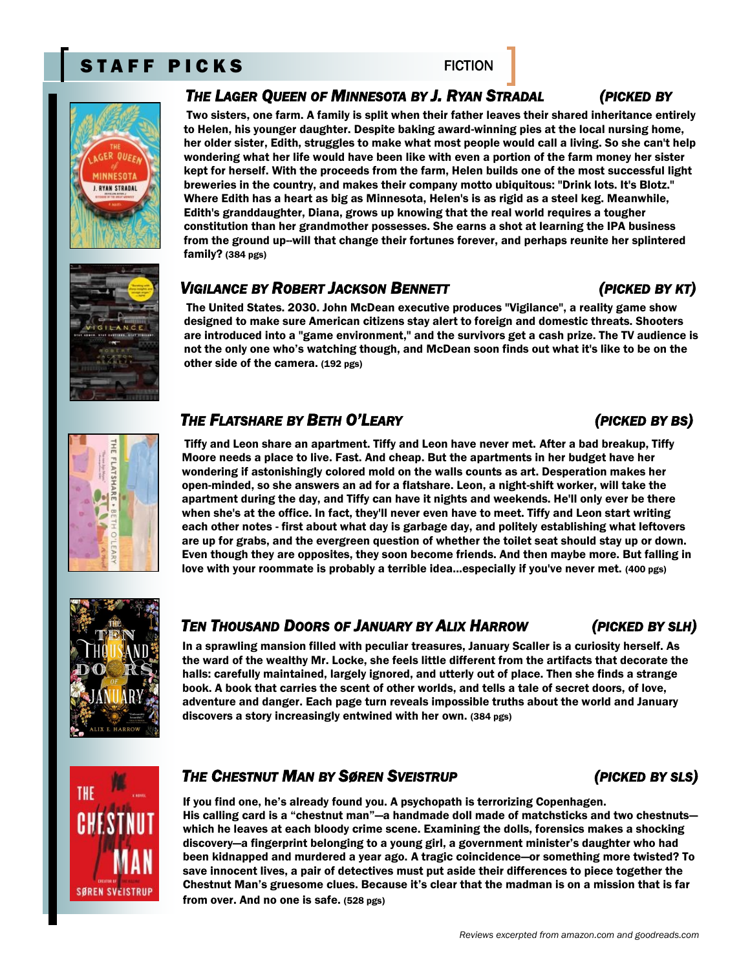## STAFF PICKS FICTION

### *THE LAGER QUEEN OF MINNESOTA BY J. RYAN STRADAL (PICKED BY*

Two sisters, one farm. A family is split when their father leaves their shared inheritance entirely to Helen, his younger daughter. Despite baking award-winning pies at the local nursing home, her older sister, Edith, struggles to make what most people would call a living. So she can't help wondering what her life would have been like with even a portion of the farm money her sister kept for herself. With the proceeds from the farm, Helen builds one of the most successful light breweries in the country, and makes their company motto ubiquitous: "Drink lots. It's Blotz." Where Edith has a heart as big as Minnesota, Helen's is as rigid as a steel keg. Meanwhile, Edith's granddaughter, Diana, grows up knowing that the real world requires a tougher constitution than her grandmother possesses. She earns a shot at learning the IPA business from the ground up--will that change their fortunes forever, and perhaps reunite her splintered family? (384 pgs)

### *VIGILANCE BY ROBERT JACKSON BENNETT (PICKED BY KT)*

The United States. 2030. John McDean executive produces "Vigilance", a reality game show designed to make sure American citizens stay alert to foreign and domestic threats. Shooters are introduced into a "game environment," and the survivors get a cash prize. The TV audience is not the only one who's watching though, and McDean soon finds out what it's like to be on the other side of the camera. (192 pgs)

### *THE FLATSHARE BY BETH O'LEARY (PICKED BY BS)*

Tiffy and Leon share an apartment. Tiffy and Leon have never met. After a bad breakup, Tiffy Moore needs a place to live. Fast. And cheap. But the apartments in her budget have her wondering if astonishingly colored mold on the walls counts as art. Desperation makes her open-minded, so she answers an ad for a flatshare. Leon, a night-shift worker, will take the apartment during the day, and Tiffy can have it nights and weekends. He'll only ever be there when she's at the office. In fact, they'll never even have to meet. Tiffy and Leon start writing each other notes - first about what day is garbage day, and politely establishing what leftovers are up for grabs, and the evergreen question of whether the toilet seat should stay up or down. Even though they are opposites, they soon become friends. And then maybe more. But falling in love with your roommate is probably a terrible idea...especially if you've never met. (400 pgs)

# *TEN THOUSAND DOORS OF JANUARY BY ALIX HARROW (PICKED BY SLH)*

In a sprawling mansion filled with peculiar treasures, January Scaller is a curiosity herself. As the ward of the wealthy Mr. Locke, she feels little different from the artifacts that decorate the halls: carefully maintained, largely ignored, and utterly out of place. Then she finds a strange book. A book that carries the scent of other worlds, and tells a tale of secret doors, of love, adventure and danger. Each page turn reveals impossible truths about the world and January discovers a story increasingly entwined with her own. (384 pgs)

### *THE CHESTNUT MAN BY SØREN SVEISTRUP (PICKED BY SLS)*

If you find one, he's already found you. A psychopath is terrorizing Copenhagen. His calling card is a "chestnut man"—a handmade doll made of matchsticks and two chestnuts which he leaves at each bloody crime scene. Examining the dolls, forensics makes a shocking discovery—a fingerprint belonging to a young girl, a government minister's daughter who had been kidnapped and murdered a year ago. A tragic coincidence—or something more twisted? To save innocent lives, a pair of detectives must put aside their differences to piece together the Chestnut Man's gruesome clues. Because it's clear that the madman is on a mission that is far from over. And no one is safe. (528 pgs)

THE **SØREN SVEISTRU** 











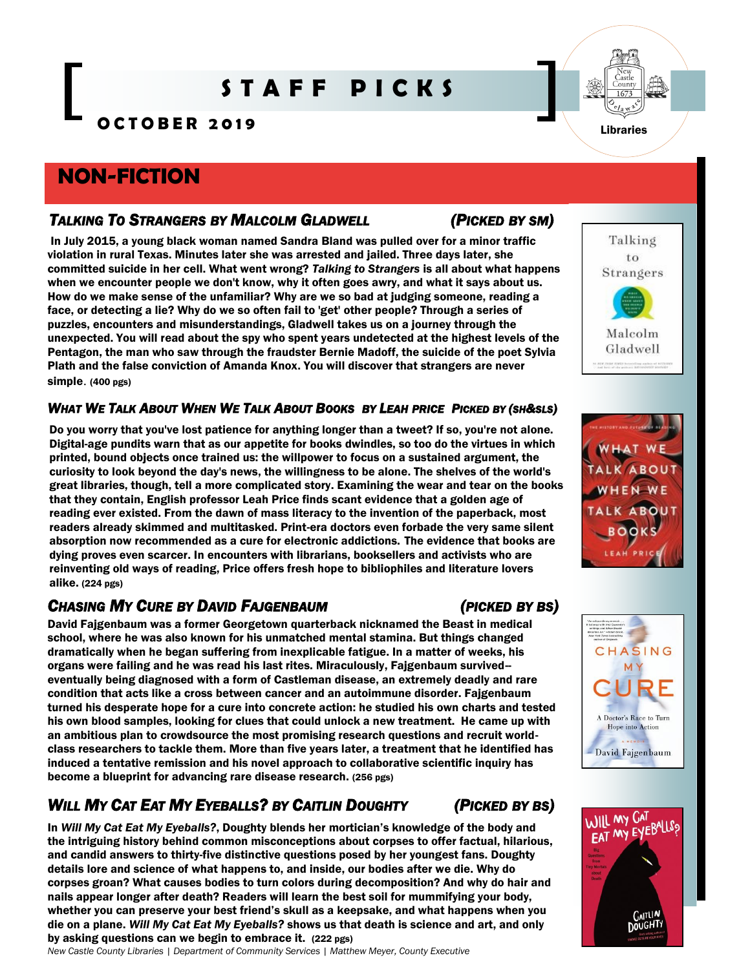# **S T A F F P I C K S**

**O C T O B E R 2 0 1 9**

## **NON-FICTION**

### *TALKING TO STRANGERS BY MALCOLM GLADWELL (PICKED BY SM)*

In July 2015, a young black woman named Sandra Bland was pulled over for a minor traffic violation in rural Texas. Minutes later she was arrested and jailed. Three days later, she committed suicide in her cell. What went wrong? *Talking to Strangers* is all about what happens when we encounter people we don't know, why it often goes awry, and what it says about us. How do we make sense of the unfamiliar? Why are we so bad at judging someone, reading a face, or detecting a lie? Why do we so often fail to 'get' other people? Through a series of puzzles, encounters and misunderstandings, Gladwell takes us on a journey through the unexpected. You will read about the spy who spent years undetected at the highest levels of the Pentagon, the man who saw through the fraudster Bernie Madoff, the suicide of the poet Sylvia Plath and the false conviction of Amanda Knox. You will discover that strangers are never simple. (400 pgs)

### WHAT WE TALK ABOUT WHEN WE TALK ABOUT BOOKS BY LEAH PRICE PICKED BY (SH&SLS)

Do you worry that you've lost patience for anything longer than a tweet? If so, you're not alone. Digital-age pundits warn that as our appetite for books dwindles, so too do the virtues in which printed, bound objects once trained us: the willpower to focus on a sustained argument, the curiosity to look beyond the day's news, the willingness to be alone. The shelves of the world's great libraries, though, tell a more complicated story. Examining the wear and tear on the books that they contain, English professor Leah Price finds scant evidence that a golden age of reading ever existed. From the dawn of mass literacy to the invention of the paperback, most readers already skimmed and multitasked. Print-era doctors even forbade the very same silent absorption now recommended as a cure for electronic addictions. The evidence that books are dying proves even scarcer. In encounters with librarians, booksellers and activists who are reinventing old ways of reading, Price offers fresh hope to bibliophiles and literature lovers alike. (224 pgs)

### *CHASING MY CURE BY DAVID FAJGENBAUM (PICKED BY BS)*

David Fajgenbaum was a former Georgetown quarterback nicknamed the Beast in medical school, where he was also known for his unmatched mental stamina. But things changed dramatically when he began suffering from inexplicable fatigue. In a matter of weeks, his organs were failing and he was read his last rites. Miraculously, Fajgenbaum survived- eventually being diagnosed with a form of Castleman disease, an extremely deadly and rare condition that acts like a cross between cancer and an autoimmune disorder. Fajgenbaum turned his desperate hope for a cure into concrete action: he studied his own charts and tested his own blood samples, looking for clues that could unlock a new treatment. He came up with an ambitious plan to crowdsource the most promising research questions and recruit worldclass researchers to tackle them. More than five years later, a treatment that he identified has induced a tentative remission and his novel approach to collaborative scientific inquiry has become a blueprint for advancing rare disease research. (256 pgs)

## WILL MY CAT EAT MY EYEBALLS? BY CAITLIN DOUGHTY (PICKED BY BS)

In *Will My Cat Eat My Eyeballs?*, Doughty blends her mortician's knowledge of the body and the intriguing history behind common misconceptions about corpses to offer factual, hilarious, and candid answers to thirty-five distinctive questions posed by her youngest fans. Doughty details lore and science of what happens to, and inside, our bodies after we die. Why do corpses groan? What causes bodies to turn colors during decomposition? And why do hair and nails appear longer after death? Readers will learn the best soil for mummifying your body, whether you can preserve your best friend's skull as a keepsake, and what happens when you die on a plane. *Will My Cat Eat My Eyeballs?* shows us that death is science and art, and only by asking questions can we begin to embrace it. (222 pgs)

*New Castle County Libraries | Department of Community Services | Matthew Meyer, County Executive* 



Talking to Strangers





CHASING M



**GAITLIN DOUGHTY**